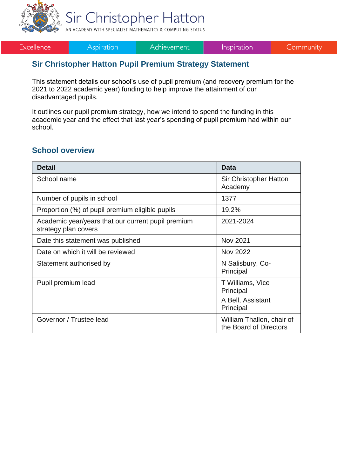

Sir Christopher Hatton AN ACADEMY WITH SPECIALIST MATHEMATICS & COMPUTING STATUS

Excellence

**Aspiration** 

Achievement

Inspiration

Community

#### **Sir Christopher Hatton Pupil Premium Strategy Statement**

This statement details our school's use of pupil premium (and recovery premium for the 2021 to 2022 academic year) funding to help improve the attainment of our disadvantaged pupils.

It outlines our pupil premium strategy, how we intend to spend the funding in this academic year and the effect that last year's spending of pupil premium had within our school.

#### **School overview**

| <b>Detail</b>                                                              | <b>Data</b>                                         |
|----------------------------------------------------------------------------|-----------------------------------------------------|
| School name                                                                | <b>Sir Christopher Hatton</b><br>Academy            |
| Number of pupils in school                                                 | 1377                                                |
| Proportion (%) of pupil premium eligible pupils                            | 19.2%                                               |
| Academic year/years that our current pupil premium<br>strategy plan covers | 2021-2024                                           |
| Date this statement was published                                          | <b>Nov 2021</b>                                     |
| Date on which it will be reviewed                                          | <b>Nov 2022</b>                                     |
| Statement authorised by                                                    | N Salisbury, Co-<br>Principal                       |
| Pupil premium lead                                                         | T Williams, Vice<br>Principal                       |
|                                                                            | A Bell, Assistant<br>Principal                      |
| Governor / Trustee lead                                                    | William Thallon, chair of<br>the Board of Directors |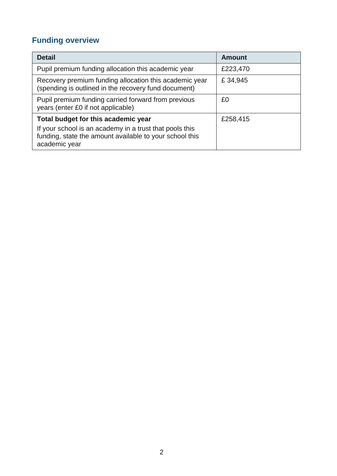## **Funding overview**

| <b>Detail</b>                                                                                                                                                              | Amount   |
|----------------------------------------------------------------------------------------------------------------------------------------------------------------------------|----------|
| Pupil premium funding allocation this academic year                                                                                                                        | £223,470 |
| Recovery premium funding allocation this academic year<br>(spending is outlined in the recovery fund document)                                                             | £34,945  |
| Pupil premium funding carried forward from previous<br>years (enter £0 if not applicable)                                                                                  | £0       |
| Total budget for this academic year<br>If your school is an academy in a trust that pools this<br>funding, state the amount available to your school this<br>academic year | £258,415 |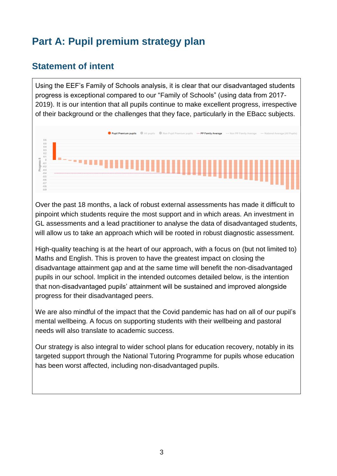# **Part A: Pupil premium strategy plan**

#### **Statement of intent**

Using the EEF's Family of Schools analysis, it is clear that our disadvantaged students progress is exceptional compared to our "Family of Schools" (using data from 2017- 2019). It is our intention that all pupils continue to make excellent progress, irrespective of their background or the challenges that they face, particularly in the EBacc subjects.



Over the past 18 months, a lack of robust external assessments has made it difficult to pinpoint which students require the most support and in which areas. An investment in GL assessments and a lead practitioner to analyse the data of disadvantaged students, will allow us to take an approach which will be rooted in robust diagnostic assessment.

High-quality teaching is at the heart of our approach, with a focus on (but not limited to) Maths and English. This is proven to have the greatest impact on closing the disadvantage attainment gap and at the same time will benefit the non-disadvantaged pupils in our school. Implicit in the intended outcomes detailed below, is the intention that non-disadvantaged pupils' attainment will be sustained and improved alongside progress for their disadvantaged peers.

We are also mindful of the impact that the Covid pandemic has had on all of our pupil's mental wellbeing. A focus on supporting students with their wellbeing and pastoral needs will also translate to academic success.

Our strategy is also integral to wider school plans for education recovery, notably in its targeted support through the National Tutoring Programme for pupils whose education has been worst affected, including non-disadvantaged pupils.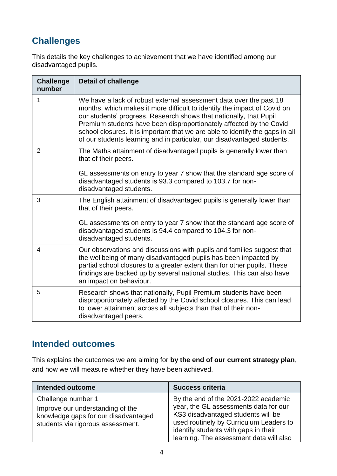# **Challenges**

This details the key challenges to achievement that we have identified among our disadvantaged pupils.

| <b>Challenge</b><br>number | <b>Detail of challenge</b>                                                                                                                                                                                                                                                                                                                                                                                                                              |
|----------------------------|---------------------------------------------------------------------------------------------------------------------------------------------------------------------------------------------------------------------------------------------------------------------------------------------------------------------------------------------------------------------------------------------------------------------------------------------------------|
| 1                          | We have a lack of robust external assessment data over the past 18<br>months, which makes it more difficult to identify the impact of Covid on<br>our students' progress. Research shows that nationally, that Pupil<br>Premium students have been disproportionately affected by the Covid<br>school closures. It is important that we are able to identify the gaps in all<br>of our students learning and in particular, our disadvantaged students. |
| $\overline{2}$             | The Maths attainment of disadvantaged pupils is generally lower than<br>that of their peers.                                                                                                                                                                                                                                                                                                                                                            |
|                            | GL assessments on entry to year 7 show that the standard age score of<br>disadvantaged students is 93.3 compared to 103.7 for non-<br>disadvantaged students.                                                                                                                                                                                                                                                                                           |
| 3                          | The English attainment of disadvantaged pupils is generally lower than<br>that of their peers.                                                                                                                                                                                                                                                                                                                                                          |
|                            | GL assessments on entry to year 7 show that the standard age score of<br>disadvantaged students is 94.4 compared to 104.3 for non-<br>disadvantaged students.                                                                                                                                                                                                                                                                                           |
| 4                          | Our observations and discussions with pupils and families suggest that<br>the wellbeing of many disadvantaged pupils has been impacted by<br>partial school closures to a greater extent than for other pupils. These<br>findings are backed up by several national studies. This can also have<br>an impact on behaviour.                                                                                                                              |
| 5                          | Research shows that nationally, Pupil Premium students have been<br>disproportionately affected by the Covid school closures. This can lead<br>to lower attainment across all subjects than that of their non-<br>disadvantaged peers.                                                                                                                                                                                                                  |

### **Intended outcomes**

This explains the outcomes we are aiming for **by the end of our current strategy plan**, and how we will measure whether they have been achieved.

| <b>Intended outcome</b>                                                                                                             | <b>Success criteria</b>                                                                                                                                                                                                                           |
|-------------------------------------------------------------------------------------------------------------------------------------|---------------------------------------------------------------------------------------------------------------------------------------------------------------------------------------------------------------------------------------------------|
| Challenge number 1<br>Improve our understanding of the<br>knowledge gaps for our disadvantaged<br>students via rigorous assessment. | By the end of the 2021-2022 academic<br>year, the GL assessments data for our<br>KS3 disadvantaged students will be<br>used routinely by Curriculum Leaders to<br>identify students with gaps in their<br>learning. The assessment data will also |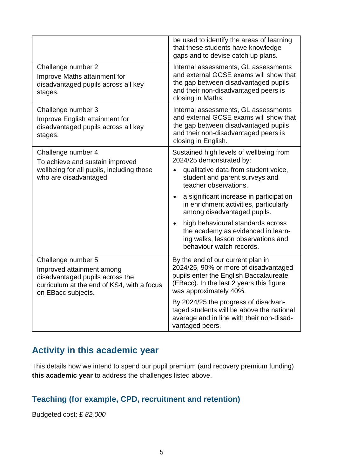|                                                                                                                                                        | be used to identify the areas of learning<br>that these students have knowledge<br>gaps and to devise catch up plans.                                                                                                                                                                                                                                                                                                                   |
|--------------------------------------------------------------------------------------------------------------------------------------------------------|-----------------------------------------------------------------------------------------------------------------------------------------------------------------------------------------------------------------------------------------------------------------------------------------------------------------------------------------------------------------------------------------------------------------------------------------|
| Challenge number 2<br>Improve Maths attainment for<br>disadvantaged pupils across all key<br>stages.                                                   | Internal assessments, GL assessments<br>and external GCSE exams will show that<br>the gap between disadvantaged pupils<br>and their non-disadvantaged peers is<br>closing in Maths.                                                                                                                                                                                                                                                     |
| Challenge number 3<br>Improve English attainment for<br>disadvantaged pupils across all key<br>stages.                                                 | Internal assessments, GL assessments<br>and external GCSE exams will show that<br>the gap between disadvantaged pupils<br>and their non-disadvantaged peers is<br>closing in English.                                                                                                                                                                                                                                                   |
| Challenge number 4<br>To achieve and sustain improved<br>wellbeing for all pupils, including those<br>who are disadvantaged                            | Sustained high levels of wellbeing from<br>2024/25 demonstrated by:<br>qualitative data from student voice,<br>student and parent surveys and<br>teacher observations.<br>a significant increase in participation<br>in enrichment activities, particularly<br>among disadvantaged pupils.<br>high behavioural standards across<br>the academy as evidenced in learn-<br>ing walks, lesson observations and<br>behaviour watch records. |
| Challenge number 5<br>Improved attainment among<br>disadvantaged pupils across the<br>curriculum at the end of KS4, with a focus<br>on EBacc subjects. | By the end of our current plan in<br>2024/25, 90% or more of disadvantaged<br>pupils enter the English Baccalaureate<br>(EBacc). In the last 2 years this figure<br>was approximately 40%.<br>By 2024/25 the progress of disadvan-<br>taged students will be above the national<br>average and in line with their non-disad-<br>vantaged peers.                                                                                         |

### **Activity in this academic year**

This details how we intend to spend our pupil premium (and recovery premium funding) **this academic year** to address the challenges listed above.

#### **Teaching (for example, CPD, recruitment and retention)**

Budgeted cost: £ *82,000*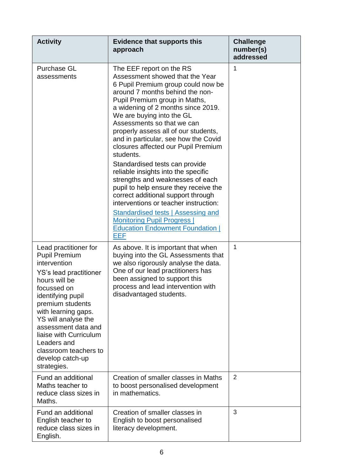| <b>Activity</b>                                                                                                                                                                                                                                                                                                                            | <b>Evidence that supports this</b><br>approach                                                                                                                                                                                                                                                                                                                                                                                                                                                                                                                                                                                                                                                                                                                                | <b>Challenge</b><br>number(s)<br>addressed |
|--------------------------------------------------------------------------------------------------------------------------------------------------------------------------------------------------------------------------------------------------------------------------------------------------------------------------------------------|-------------------------------------------------------------------------------------------------------------------------------------------------------------------------------------------------------------------------------------------------------------------------------------------------------------------------------------------------------------------------------------------------------------------------------------------------------------------------------------------------------------------------------------------------------------------------------------------------------------------------------------------------------------------------------------------------------------------------------------------------------------------------------|--------------------------------------------|
| <b>Purchase GL</b><br>assessments                                                                                                                                                                                                                                                                                                          | The EEF report on the RS<br>Assessment showed that the Year<br>6 Pupil Premium group could now be<br>around 7 months behind the non-<br>Pupil Premium group in Maths,<br>a widening of 2 months since 2019.<br>We are buying into the GL<br>Assessments so that we can<br>properly assess all of our students,<br>and in particular, see how the Covid<br>closures affected our Pupil Premium<br>students.<br>Standardised tests can provide<br>reliable insights into the specific<br>strengths and weaknesses of each<br>pupil to help ensure they receive the<br>correct additional support through<br>interventions or teacher instruction:<br>Standardised tests   Assessing and<br><b>Monitoring Pupil Progress  </b><br><b>Education Endowment Foundation  </b><br>EEF | 1                                          |
| Lead practitioner for<br><b>Pupil Premium</b><br>intervention<br>YS's lead practitioner<br>hours will be<br>focussed on<br>identifying pupil<br>premium students<br>with learning gaps.<br>YS will analyse the<br>assessment data and<br>liaise with Curriculum<br>Leaders and<br>classroom teachers to<br>develop catch-up<br>strategies. | As above. It is important that when<br>buying into the GL Assessments that<br>we also rigorously analyse the data.<br>One of our lead practitioners has<br>been assigned to support this<br>process and lead intervention with<br>disadvantaged students.                                                                                                                                                                                                                                                                                                                                                                                                                                                                                                                     | 1                                          |
| Fund an additional<br>Maths teacher to<br>reduce class sizes in<br>Maths.                                                                                                                                                                                                                                                                  | Creation of smaller classes in Maths<br>to boost personalised development<br>in mathematics.                                                                                                                                                                                                                                                                                                                                                                                                                                                                                                                                                                                                                                                                                  | $\overline{2}$                             |
| Fund an additional<br>English teacher to<br>reduce class sizes in<br>English.                                                                                                                                                                                                                                                              | Creation of smaller classes in<br>English to boost personalised<br>literacy development.                                                                                                                                                                                                                                                                                                                                                                                                                                                                                                                                                                                                                                                                                      | 3                                          |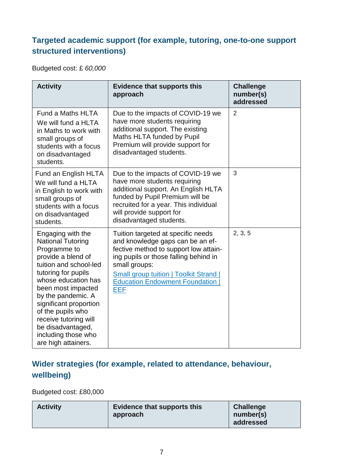### **Targeted academic support (for example, tutoring, one-to-one support structured interventions)**

Budgeted cost: £ *60,000*

| <b>Activity</b>                                                                                                                                                                                                                                                                                                                                    | <b>Evidence that supports this</b><br>approach                                                                                                                                                                                                                             | <b>Challenge</b><br>number(s)<br>addressed |
|----------------------------------------------------------------------------------------------------------------------------------------------------------------------------------------------------------------------------------------------------------------------------------------------------------------------------------------------------|----------------------------------------------------------------------------------------------------------------------------------------------------------------------------------------------------------------------------------------------------------------------------|--------------------------------------------|
| Fund a Maths HLTA<br>We will fund a HLTA<br>in Maths to work with<br>small groups of<br>students with a focus<br>on disadvantaged<br>students.                                                                                                                                                                                                     | Due to the impacts of COVID-19 we<br>have more students requiring<br>additional support. The existing<br>Maths HLTA funded by Pupil<br>Premium will provide support for<br>disadvantaged students.                                                                         | 2                                          |
| Fund an English HLTA<br>We will fund a HLTA<br>in English to work with<br>small groups of<br>students with a focus<br>on disadvantaged<br>students.                                                                                                                                                                                                | Due to the impacts of COVID-19 we<br>have more students requiring<br>additional support. An English HLTA<br>funded by Pupil Premium will be<br>recruited for a year. This individual<br>will provide support for<br>disadvantaged students.                                | 3                                          |
| Engaging with the<br><b>National Tutoring</b><br>Programme to<br>provide a blend of<br>tuition and school-led<br>tutoring for pupils<br>whose education has<br>been most impacted<br>by the pandemic. A<br>significant proportion<br>of the pupils who<br>receive tutoring will<br>be disadvantaged,<br>including those who<br>are high attainers. | Tuition targeted at specific needs<br>and knowledge gaps can be an ef-<br>fective method to support low attain-<br>ing pupils or those falling behind in<br>small groups:<br><b>Small group tuition   Toolkit Strand  </b><br><b>Education Endowment Foundation</b><br>EEF | 2, 3, 5                                    |

### **Wider strategies (for example, related to attendance, behaviour, wellbeing)**

Budgeted cost: £80,000

| <b>Activity</b> | Evidence that supports this<br>approach | <b>Challenge</b><br>number(s) |
|-----------------|-----------------------------------------|-------------------------------|
|                 |                                         | addressed                     |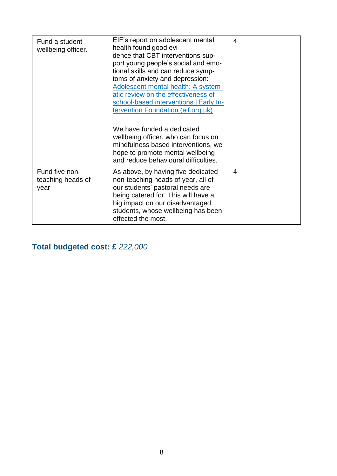| Fund a student<br>wellbeing officer.        | EIF's report on adolescent mental<br>health found good evi-<br>dence that CBT interventions sup-<br>port young people's social and emo-<br>tional skills and can reduce symp-<br>toms of anxiety and depression:<br>Adolescent mental health: A system-<br>atic review on the effectiveness of<br>school-based interventions   Early In-<br>tervention Foundation (eif.org.uk) | 4 |
|---------------------------------------------|--------------------------------------------------------------------------------------------------------------------------------------------------------------------------------------------------------------------------------------------------------------------------------------------------------------------------------------------------------------------------------|---|
|                                             | We have funded a dedicated<br>wellbeing officer, who can focus on<br>mindfulness based interventions, we<br>hope to promote mental wellbeing<br>and reduce behavioural difficulties.                                                                                                                                                                                           |   |
| Fund five non-<br>teaching heads of<br>year | As above, by having five dedicated<br>non-teaching heads of year, all of<br>our students' pastoral needs are<br>being catered for. This will have a<br>big impact on our disadvantaged<br>students, whose wellbeing has been<br>effected the most.                                                                                                                             | 4 |

**Total budgeted cost: £** *222,000*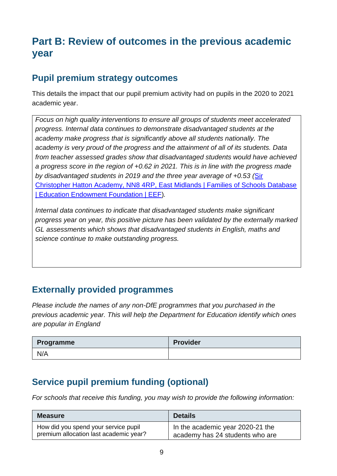# **Part B: Review of outcomes in the previous academic year**

### **Pupil premium strategy outcomes**

This details the impact that our pupil premium activity had on pupils in the 2020 to 2021 academic year.

*Focus on high quality interventions to ensure all groups of students meet accelerated progress. Internal data continues to demonstrate disadvantaged students at the academy make progress that is significantly above all students nationally. The academy is very proud of the progress and the attainment of all of its students. Data from teacher assessed grades show that disadvantaged students would have achieved a progress score in the region of +0.62 in 2021. This is in line with the progress made by disadvantaged students in 2019 and the three year average of +0.53 (*[Sir](https://v2.educationendowmentfoundation.org.uk/tools/families-of-schools-database/sir-christopher-hatton-academy-nn8-4rp/)  [Christopher Hatton Academy, NN8 4RP, East Midlands | Families of Schools Database](https://v2.educationendowmentfoundation.org.uk/tools/families-of-schools-database/sir-christopher-hatton-academy-nn8-4rp/)  [| Education Endowment Foundation | EEF\)](https://v2.educationendowmentfoundation.org.uk/tools/families-of-schools-database/sir-christopher-hatton-academy-nn8-4rp/)*.*

*Internal data continues to indicate that disadvantaged students make significant progress year on year, this positive picture has been validated by the externally marked GL assessments which shows that disadvantaged students in English, maths and science continue to make outstanding progress.* 

### **Externally provided programmes**

*Please include the names of any non-DfE programmes that you purchased in the previous academic year. This will help the Department for Education identify which ones are popular in England*

| Programme | <b>Provider</b> |
|-----------|-----------------|
| N/A       |                 |

# **Service pupil premium funding (optional)**

*For schools that receive this funding, you may wish to provide the following information:* 

| <b>Measure</b>                         | <b>Details</b>                   |
|----------------------------------------|----------------------------------|
| How did you spend your service pupil   | In the academic year 2020-21 the |
| premium allocation last academic year? | academy has 24 students who are  |